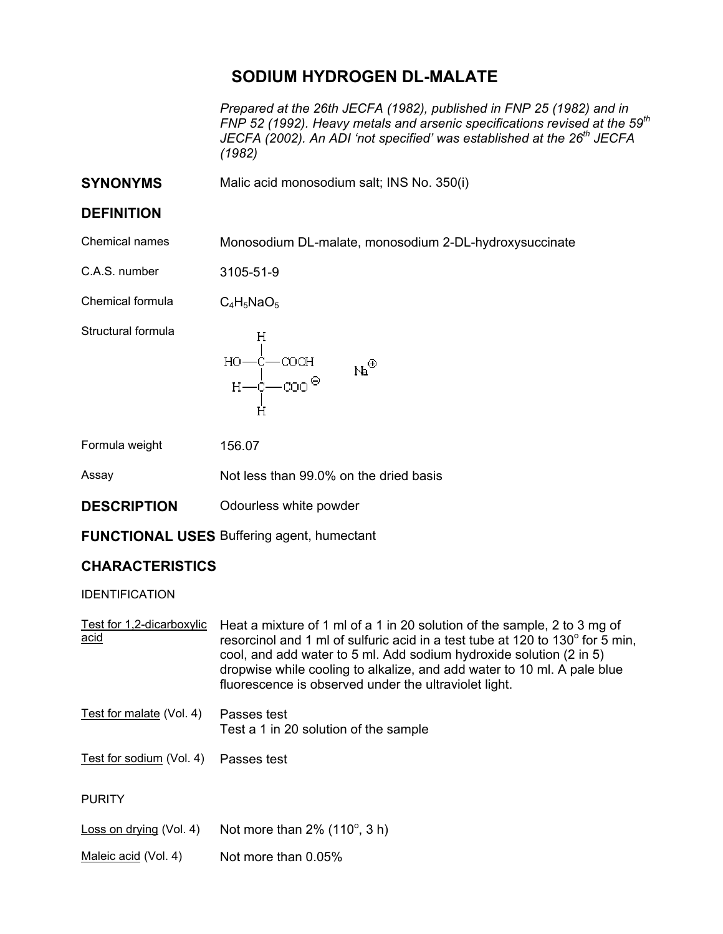## **SODIUM HYDROGEN DL-MALATE**

*Prepared at the 26th JECFA (1982), published in FNP 25 (1982) and in FNP 52 (1992). Heavy metals and arsenic specifications revised at the 59th JECFA (2002). An ADI 'not specified' was established at the 26th JECFA (1982)* 

**SYNONYMS** Malic acid monosodium salt; INS No. 350(i)

## **DEFINITION**

Chemical names Monosodium DL-malate, monosodium 2-DL-hydroxysuccinate

C.A.S. number 3105-51-9

Chemical formula  $C_4H_5NaO_5$ 

Structural formula

Formula weight 156.07

Assay Not less than 99.0% on the dried basis

**DESCRIPTION** Odourless white powder

**FUNCTIONAL USES** Buffering agent, humectant

## **CHARACTERISTICS**

IDENTIFICATION

| Test for 1,2-dicarboxylic<br>acid | Heat a mixture of 1 ml of a 1 in 20 solution of the sample, 2 to 3 mg of<br>resorcinol and 1 ml of sulfuric acid in a test tube at 120 to 130° for 5 min,<br>cool, and add water to 5 ml. Add sodium hydroxide solution (2 in 5)<br>dropwise while cooling to alkalize, and add water to 10 ml. A pale blue<br>fluorescence is observed under the ultraviolet light. |
|-----------------------------------|----------------------------------------------------------------------------------------------------------------------------------------------------------------------------------------------------------------------------------------------------------------------------------------------------------------------------------------------------------------------|
| Test for malate (Vol. 4)          | Passes test<br>Test a 1 in 20 solution of the sample                                                                                                                                                                                                                                                                                                                 |
| Test for sodium (Vol. 4)          | Passes test                                                                                                                                                                                                                                                                                                                                                          |
| <b>PURITY</b>                     |                                                                                                                                                                                                                                                                                                                                                                      |
| Loss on drying (Vol. 4)           | Not more than $2\%$ (110 $^{\circ}$ , 3 h)                                                                                                                                                                                                                                                                                                                           |
| Maleic acid (Vol. 4)              | Not more than 0.05%                                                                                                                                                                                                                                                                                                                                                  |